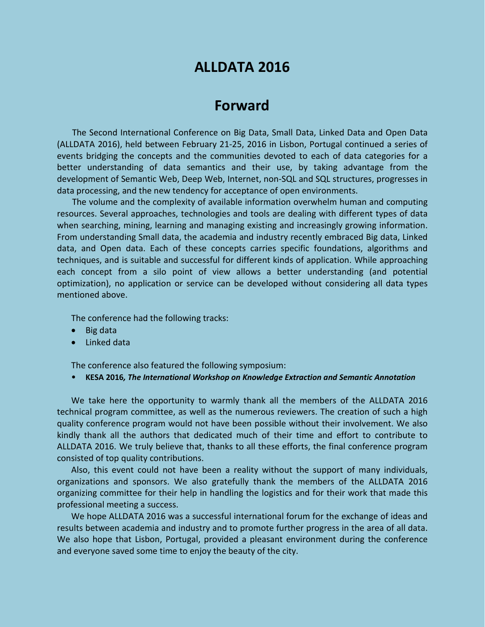# **ALLDATA 2016**

## **Forward**

The Second International Conference on Big Data, Small Data, Linked Data and Open Data (ALLDATA 2016), held between February 21-25, 2016 in Lisbon, Portugal continued a series of events bridging the concepts and the communities devoted to each of data categories for a better understanding of data semantics and their use, by taking advantage from the development of Semantic Web, Deep Web, Internet, non-SQL and SQL structures, progresses in data processing, and the new tendency for acceptance of open environments.

The volume and the complexity of available information overwhelm human and computing resources. Several approaches, technologies and tools are dealing with different types of data when searching, mining, learning and managing existing and increasingly growing information. From understanding Small data, the academia and industry recently embraced Big data, Linked data, and Open data. Each of these concepts carries specific foundations, algorithms and techniques, and is suitable and successful for different kinds of application. While approaching each concept from a silo point of view allows a better understanding (and potential optimization), no application or service can be developed without considering all data types mentioned above.

The conference had the following tracks:

- Big data
- Linked data

The conference also featured the following symposium:

• **KESA 2016***, The International Workshop on Knowledge Extraction and Semantic Annotation*

We take here the opportunity to warmly thank all the members of the ALLDATA 2016 technical program committee, as well as the numerous reviewers. The creation of such a high quality conference program would not have been possible without their involvement. We also kindly thank all the authors that dedicated much of their time and effort to contribute to ALLDATA 2016. We truly believe that, thanks to all these efforts, the final conference program consisted of top quality contributions.

Also, this event could not have been a reality without the support of many individuals, organizations and sponsors. We also gratefully thank the members of the ALLDATA 2016 organizing committee for their help in handling the logistics and for their work that made this professional meeting a success.

We hope ALLDATA 2016 was a successful international forum for the exchange of ideas and results between academia and industry and to promote further progress in the area of all data. We also hope that Lisbon, Portugal, provided a pleasant environment during the conference and everyone saved some time to enjoy the beauty of the city.